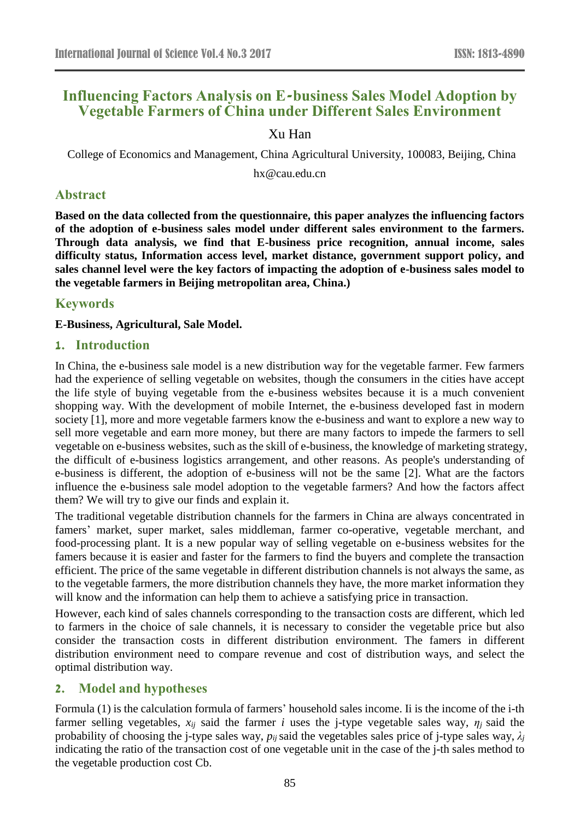# **Influencing Factors Analysis on E-business Sales Model Adoption by Vegetable Farmers of China under Different Sales Environment**

## Xu Han

College of Economics and Management, China Agricultural University, 100083, Beijing, China

hx@cau.edu.cn

### **Abstract**

**Based on the data collected from the questionnaire, this paper analyzes the influencing factors of the adoption of e-business sales model under different sales environment to the farmers. Through data analysis, we find that E-business price recognition, annual income, sales difficulty status, Information access level, market distance, government support policy, and sales channel level were the key factors of impacting the adoption of e-business sales model to the vegetable farmers in Beijing metropolitan area, China.)**

### **Keywords**

**E-Business, Agricultural, Sale Model.**

### **1. Introduction**

In China, the e-business sale model is a new distribution way for the vegetable farmer. Few farmers had the experience of selling vegetable on websites, though the consumers in the cities have accept the life style of buying vegetable from the e-business websites because it is a much convenient shopping way. With the development of mobile Internet, the e-business developed fast in modern society [1], more and more vegetable farmers know the e-business and want to explore a new way to sell more vegetable and earn more money, but there are many factors to impede the farmers to sell vegetable on e-business websites, such as the skill of e-business, the knowledge of marketing strategy, the difficult of e-business logistics arrangement, and other reasons. As people's understanding of e-business is different, the adoption of e-business will not be the same [2]. What are the factors influence the e-business sale model adoption to the vegetable farmers? And how the factors affect them? We will try to give our finds and explain it.

The traditional vegetable distribution channels for the farmers in China are always concentrated in famers' market, super market, sales middleman, farmer co-operative, vegetable merchant, and food-processing plant. It is a new popular way of selling vegetable on e-business websites for the famers because it is easier and faster for the farmers to find the buyers and complete the transaction efficient. The price of the same vegetable in different distribution channels is not always the same, as to the vegetable farmers, the more distribution channels they have, the more market information they will know and the information can help them to achieve a satisfying price in transaction.

However, each kind of sales channels corresponding to the transaction costs are different, which led to farmers in the choice of sale channels, it is necessary to consider the vegetable price but also consider the transaction costs in different distribution environment. The famers in different distribution environment need to compare revenue and cost of distribution ways, and select the optimal distribution way.

# **2. Model and hypotheses**

Formula (1) is the calculation formula of farmers' household sales income. Ii is the income of the i-th farmer selling vegetables,  $x_{ij}$  said the farmer *i* uses the j-type vegetable sales way,  $\eta_i$  said the probability of choosing the j-type sales way,  $p_{ij}$  said the vegetables sales price of j-type sales way,  $\lambda_j$ indicating the ratio of the transaction cost of one vegetable unit in the case of the j-th sales method to the vegetable production cost Cb.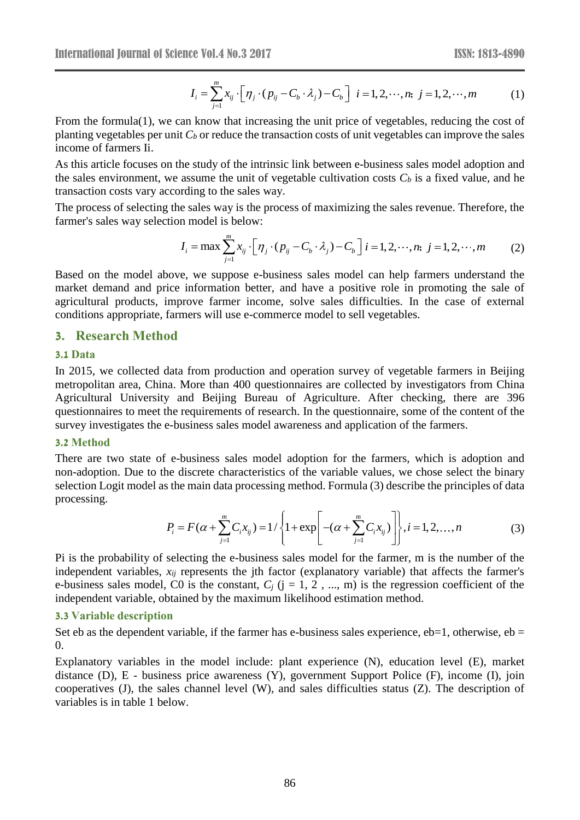$$
I_i = \sum_{j=1}^{m} x_{ij} \cdot \left[ \eta_j \cdot (p_{ij} - C_b \cdot \lambda_j) - C_b \right] \quad i = 1, 2, \cdots, n; \quad j = 1, 2, \cdots, m \tag{1}
$$

From the formula(1), we can know that increasing the unit price of vegetables, reducing the cost of planting vegetables per unit  $C_b$  or reduce the transaction costs of unit vegetables can improve the sales income of farmers Ii.

As this article focuses on the study of the intrinsic link between e-business sales model adoption and the sales environment, we assume the unit of vegetable cultivation costs  $C_b$  is a fixed value, and he transaction costs vary according to the sales way.

The process of selecting the sales way is the process of maximizing the sales revenue. Therefore, the farmer's sales way selection model is below:

$$
I_i = \max \sum_{j=1}^{m} x_{ij} \cdot \left[ \eta_j \cdot (p_{ij} - C_b \cdot \lambda_j) - C_b \right] i = 1, 2, \cdots, n; \ j = 1, 2, \cdots, m \tag{2}
$$

Based on the model above, we suppose e-business sales model can help farmers understand the market demand and price information better, and have a positive role in promoting the sale of agricultural products, improve farmer income, solve sales difficulties. In the case of external conditions appropriate, farmers will use e-commerce model to sell vegetables.

### **3. Research Method**

#### **3.1 Data**

In 2015, we collected data from production and operation survey of vegetable farmers in Beijing metropolitan area, China. More than 400 questionnaires are collected by investigators from China Agricultural University and Beijing Bureau of Agriculture. After checking, there are 396 questionnaires to meet the requirements of research. In the questionnaire, some of the content of the survey investigates the e-business sales model awareness and application of the farmers.

#### **3.2 Method**

There are two state of e-business sales model adoption for the farmers, which is adoption and non-adoption. Due to the discrete characteristics of the variable values, we chose select the binary selection Logit model as the main data processing method. Formula (3) describe the principles of data processing.

$$
P_i = F(\alpha + \sum_{j=1}^{m} C_i x_{ij}) = 1/\left\{1 + \exp\left[-(\alpha + \sum_{j=1}^{m} C_i x_{ij})\right]\right\}, i = 1, 2, ..., n
$$
 (3)

Pi is the probability of selecting the e-business sales model for the farmer, m is the number of the independent variables, *xij* represents the jth factor (explanatory variable) that affects the farmer's e-business sales model, C0 is the constant,  $C_j$  ( $j = 1, 2, ..., m$ ) is the regression coefficient of the independent variable, obtained by the maximum likelihood estimation method.

#### **3.3 Variable description**

Set eb as the dependent variable, if the farmer has e-business sales experience,  $eb=1$ , otherwise,  $eb=$ 0.

Explanatory variables in the model include: plant experience (N), education level (E), market distance (D), E - business price awareness (Y), government Support Police (F), income (I), join cooperatives (J), the sales channel level (W), and sales difficulties status (Z). The description of variables is in table 1 below.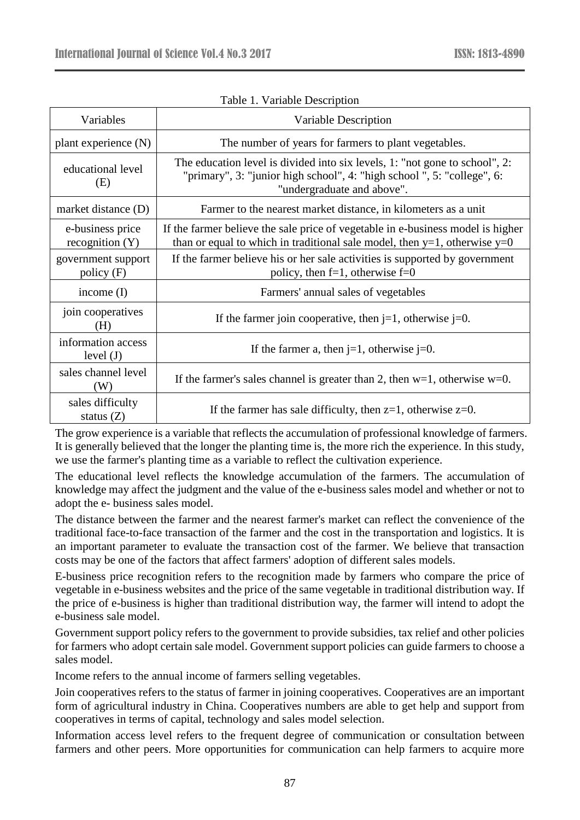| Variables                             | Variable Description                                                                                                                                                                |  |
|---------------------------------------|-------------------------------------------------------------------------------------------------------------------------------------------------------------------------------------|--|
| plant experience (N)                  | The number of years for farmers to plant vegetables.                                                                                                                                |  |
| educational level<br>(E)              | The education level is divided into six levels, 1: "not gone to school", 2:<br>"primary", 3: "junior high school", 4: "high school", 5: "college", 6:<br>"undergraduate and above". |  |
| market distance (D)                   | Farmer to the nearest market distance, in kilometers as a unit                                                                                                                      |  |
| e-business price<br>recognition $(Y)$ | If the farmer believe the sale price of vegetable in e-business model is higher<br>than or equal to which in traditional sale model, then $y=1$ , otherwise $y=0$                   |  |
| government support<br>policy(F)       | If the farmer believe his or her sale activities is supported by government<br>policy, then $f=1$ , otherwise $f=0$                                                                 |  |
| income $(I)$                          | Farmers' annual sales of vegetables                                                                                                                                                 |  |
| join cooperatives<br>(H)              | If the farmer join cooperative, then $j=1$ , otherwise $j=0$ .                                                                                                                      |  |
| information access<br>level $(J)$     | If the farmer a, then $j=1$ , otherwise $j=0$ .                                                                                                                                     |  |
| sales channel level<br>(W)            | If the farmer's sales channel is greater than 2, then $w=1$ , otherwise $w=0$ .                                                                                                     |  |
| sales difficulty<br>status $(Z)$      | If the farmer has sale difficulty, then $z=1$ , otherwise $z=0$ .                                                                                                                   |  |

Table 1. Variable Description

The grow experience is a variable that reflects the accumulation of professional knowledge of farmers. It is generally believed that the longer the planting time is, the more rich the experience. In this study, we use the farmer's planting time as a variable to reflect the cultivation experience.

The educational level reflects the knowledge accumulation of the farmers. The accumulation of knowledge may affect the judgment and the value of the e-business sales model and whether or not to adopt the e- business sales model.

The distance between the farmer and the nearest farmer's market can reflect the convenience of the traditional face-to-face transaction of the farmer and the cost in the transportation and logistics. It is an important parameter to evaluate the transaction cost of the farmer. We believe that transaction costs may be one of the factors that affect farmers' adoption of different sales models.

E-business price recognition refers to the recognition made by farmers who compare the price of vegetable in e-business websites and the price of the same vegetable in traditional distribution way. If the price of e-business is higher than traditional distribution way, the farmer will intend to adopt the e-business sale model.

Government support policy refers to the government to provide subsidies, tax relief and other policies for farmers who adopt certain sale model. Government support policies can guide farmers to choose a sales model.

Income refers to the annual income of farmers selling vegetables.

Join cooperatives refers to the status of farmer in joining cooperatives. Cooperatives are an important form of agricultural industry in China. Cooperatives numbers are able to get help and support from cooperatives in terms of capital, technology and sales model selection.

Information access level refers to the frequent degree of communication or consultation between farmers and other peers. More opportunities for communication can help farmers to acquire more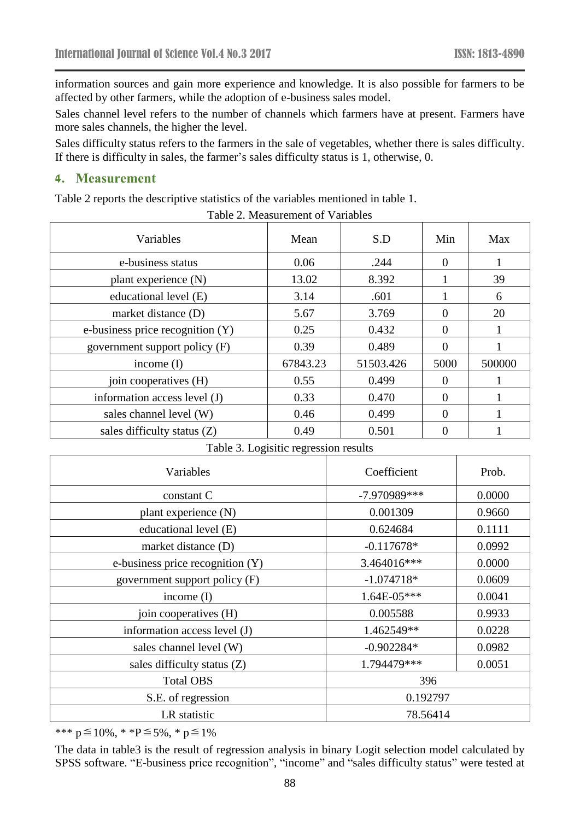information sources and gain more experience and knowledge. It is also possible for farmers to be affected by other farmers, while the adoption of e-business sales model.

Sales channel level refers to the number of channels which farmers have at present. Farmers have more sales channels, the higher the level.

Sales difficulty status refers to the farmers in the sale of vegetables, whether there is sales difficulty. If there is difficulty in sales, the farmer's sales difficulty status is 1, otherwise, 0.

### **4. Measurement**

Table 2 reports the descriptive statistics of the variables mentioned in table 1.

| Variables                        | Mean     | S.D       | Min      | Max    |
|----------------------------------|----------|-----------|----------|--------|
| e-business status                | 0.06     | .244      | $\theta$ |        |
| plant experience (N)             | 13.02    | 8.392     |          | 39     |
| educational level (E)            | 3.14     | .601      |          | 6      |
| market distance (D)              | 5.67     | 3.769     | 0        | 20     |
| e-business price recognition (Y) | 0.25     | 0.432     | 0        |        |
| government support policy (F)    | 0.39     | 0.489     | 0        |        |
| income $(I)$                     | 67843.23 | 51503.426 | 5000     | 500000 |
| join cooperatives (H)            | 0.55     | 0.499     | $\Omega$ |        |
| information access level (J)     | 0.33     | 0.470     | 0        |        |
| sales channel level (W)          | 0.46     | 0.499     | 0        |        |
| sales difficulty status $(Z)$    | 0.49     | 0.501     |          |        |

Table 2. Measurement of Variables

|  |  | Table 3. Logisitic regression results |  |
|--|--|---------------------------------------|--|
|  |  |                                       |  |

| Variables                        | Coefficient    | Prob.  |  |
|----------------------------------|----------------|--------|--|
| constant C                       | $-7.970989***$ | 0.0000 |  |
| plant experience (N)             | 0.001309       | 0.9660 |  |
| educational level (E)            | 0.624684       | 0.1111 |  |
| market distance (D)              | $-0.117678*$   | 0.0992 |  |
| e-business price recognition (Y) | 3.464016***    | 0.0000 |  |
| government support policy (F)    | $-1.074718*$   | 0.0609 |  |
| income $(I)$                     | 1.64E-05***    | 0.0041 |  |
| join cooperatives (H)            | 0.005588       | 0.9933 |  |
| information access level (J)     | 1.462549**     | 0.0228 |  |
| sales channel level (W)          | $-0.902284*$   | 0.0982 |  |
| sales difficulty status $(Z)$    | 1.794479***    | 0.0051 |  |
| <b>Total OBS</b>                 | 396            |        |  |
| S.E. of regression               | 0.192797       |        |  |
| LR statistic                     | 78.56414       |        |  |

\*\*\* p≦10%, \* \*P≦5%, \* p≦1%

The data in table3 is the result of regression analysis in binary Logit selection model calculated by SPSS software. "E-business price recognition", "income" and "sales difficulty status" were tested at